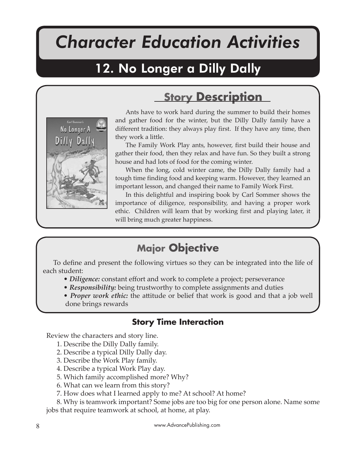# *Character Education Activities*

No Longer A Dilly Dally

# 12. No Longer a Dilly Dally



Ants have to work hard during the summer to build their homes and gather food for the winter, but the Dilly Dally family have a different tradition: they always play first. If they have any time, then they work a little.

**Story Description**

The Family Work Play ants, however, first build their house and gather their food, then they relax and have fun. So they built a strong house and had lots of food for the coming winter.

When the long, cold winter came, the Dilly Dally family had a tough time finding food and keeping warm. However, they learned an important lesson, and changed their name to Family Work First.

In this delightful and inspiring book by Carl Sommer shows the importance of diligence, responsibility, and having a proper work ethic. Children will learn that by working first and playing later, it will bring much greater happiness.

# **Major Objective**

To define and present the following virtues so they can be integrated into the life of each student:

- *Diligence:* constant effort and work to complete a project; perseverance
- *Responsibility:* being trustworthy to complete assignments and duties
- *Proper work ethic*: the attitude or belief that work is good and that a job well done brings rewards

#### **Story Time Interaction**

Review the characters and story line.

- 1. Describe the Dilly Dally family.
- 2. Describe a typical Dilly Dally day.
- 3. Describe the Work Play family.
- 4. Describe a typical Work Play day.
- 5. Which family accomplished more? Why?
- 6. What can we learn from this story?
- 7. How does what I learned apply to me? At school? At home?

8. Why is teamwork important? Some jobs are too big for one person alone. Name some jobs that require teamwork at school, at home, at play.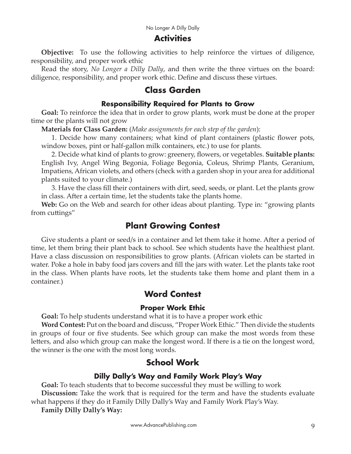#### **Activities**

**Objective:** To use the following activities to help reinforce the virtues of diligence, responsibility, and proper work ethic

Read the story, *No Longer a Dilly Dally*, and then write the three virtues on the board: diligence, responsibility, and proper work ethic. Define and discuss these virtues.

#### **Class Garden**

#### **Responsibility Required for Plants to Grow**

**Goal:** To reinforce the idea that in order to grow plants, work must be done at the proper time or the plants will not grow

**Materials for Class Garden:** (*Make assignments for each step of the garden*):

1. Decide how many containers; what kind of plant containers (plastic flower pots, window boxes, pint or half-gallon milk containers, etc.) to use for plants.

2. Decide what kind of plants to grow: greenery, flowers, or vegetables. **Suitable plants:**  English Ivy, Angel Wing Begonia, Foliage Begonia, Coleus, Shrimp Plants, Geranium, Impatiens, African violets, and others (check with a garden shop in your area for additional plants suited to your climate.)

3. Have the class fill their containers with dirt, seed, seeds, or plant. Let the plants grow in class. After a certain time, let the students take the plants home.

**Web:** Go on the Web and search for other ideas about planting. Type in: "growing plants from cuttings"

#### **Plant Growing Contest**

Give students a plant or seed/s in a container and let them take it home. After a period of time, let them bring their plant back to school. See which students have the healthiest plant. Have a class discussion on responsibilities to grow plants. (African violets can be started in water. Poke a hole in baby food jars covers and fill the jars with water. Let the plants take root in the class. When plants have roots, let the students take them home and plant them in a container.)

#### **Word Contest**

#### **Proper Work Ethic**

**Goal:** To help students understand what it is to have a proper work ethic

**Word Contest:** Put on the board and discuss, "Proper Work Ethic." Then divide the students in groups of four or five students. See which group can make the most words from these letters, and also which group can make the longest word. If there is a tie on the longest word, the winner is the one with the most long words.

#### **School Work**

#### **Dilly Dally's Way and Family Work Play's Way**

**Goal:** To teach students that to become successful they must be willing to work **Discussion:** Take the work that is required for the term and have the students evaluate what happens if they do it Family Dilly Dally's Way and Family Work Play's Way.

**Family Dilly Dally's Way:**